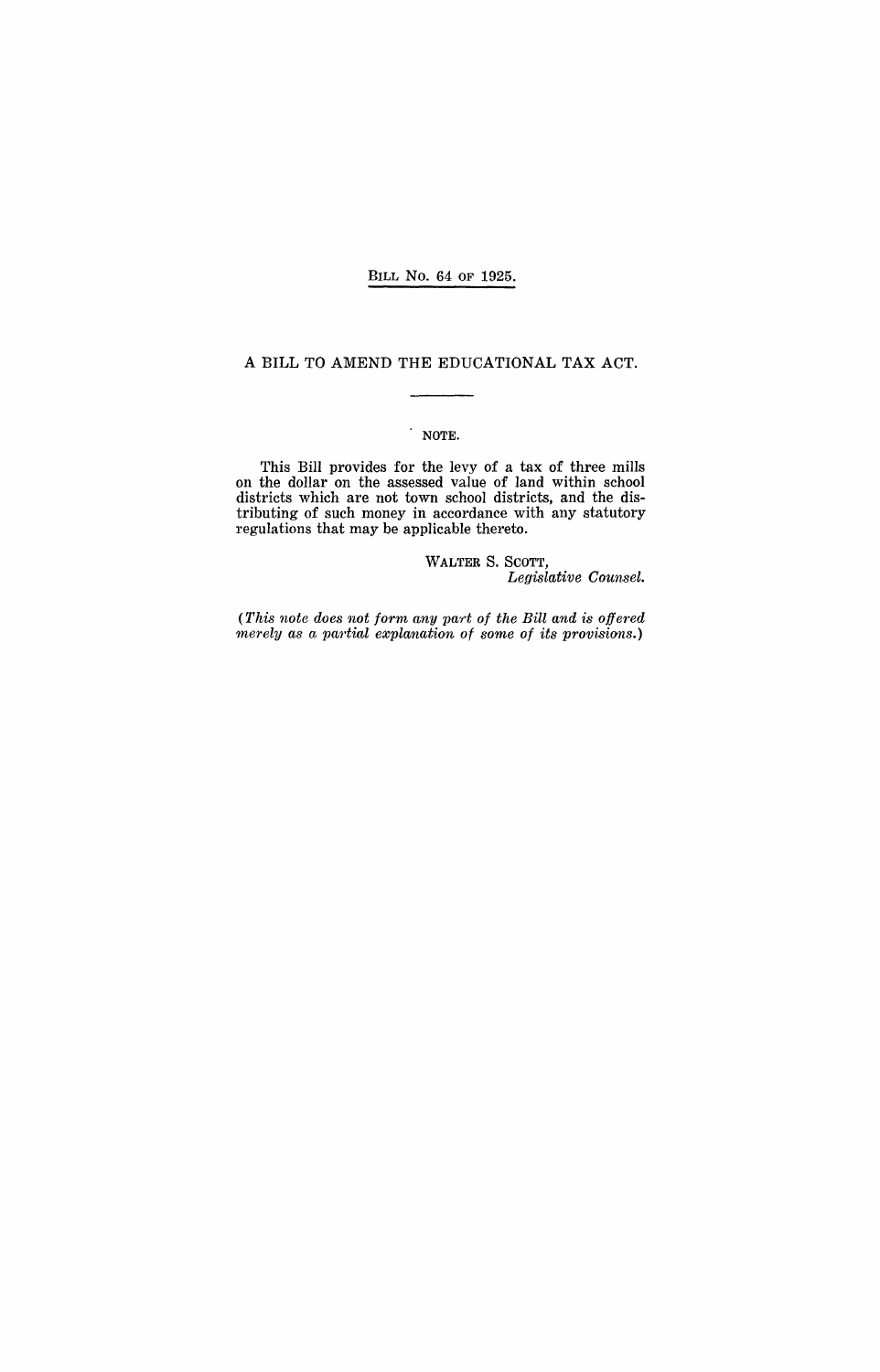### BILL No. 64 OF 1925.

### A BILL TO AMEND THE EDUCATIONAL TAX ACT.

## NOTE.

This Bill provides for the levy of a tax of three mills on the dollar on the assessed value of land within school districts which are not town school districts, and the distributing of such money in accordance with any statutory regulations that may be applicable thereto.

> WALTER S. SCOTT, *Legislative Counsel.*

(This note does not form any part of the Bill and is offered *rnerely as a partial explanation of sorne of its provisions.)*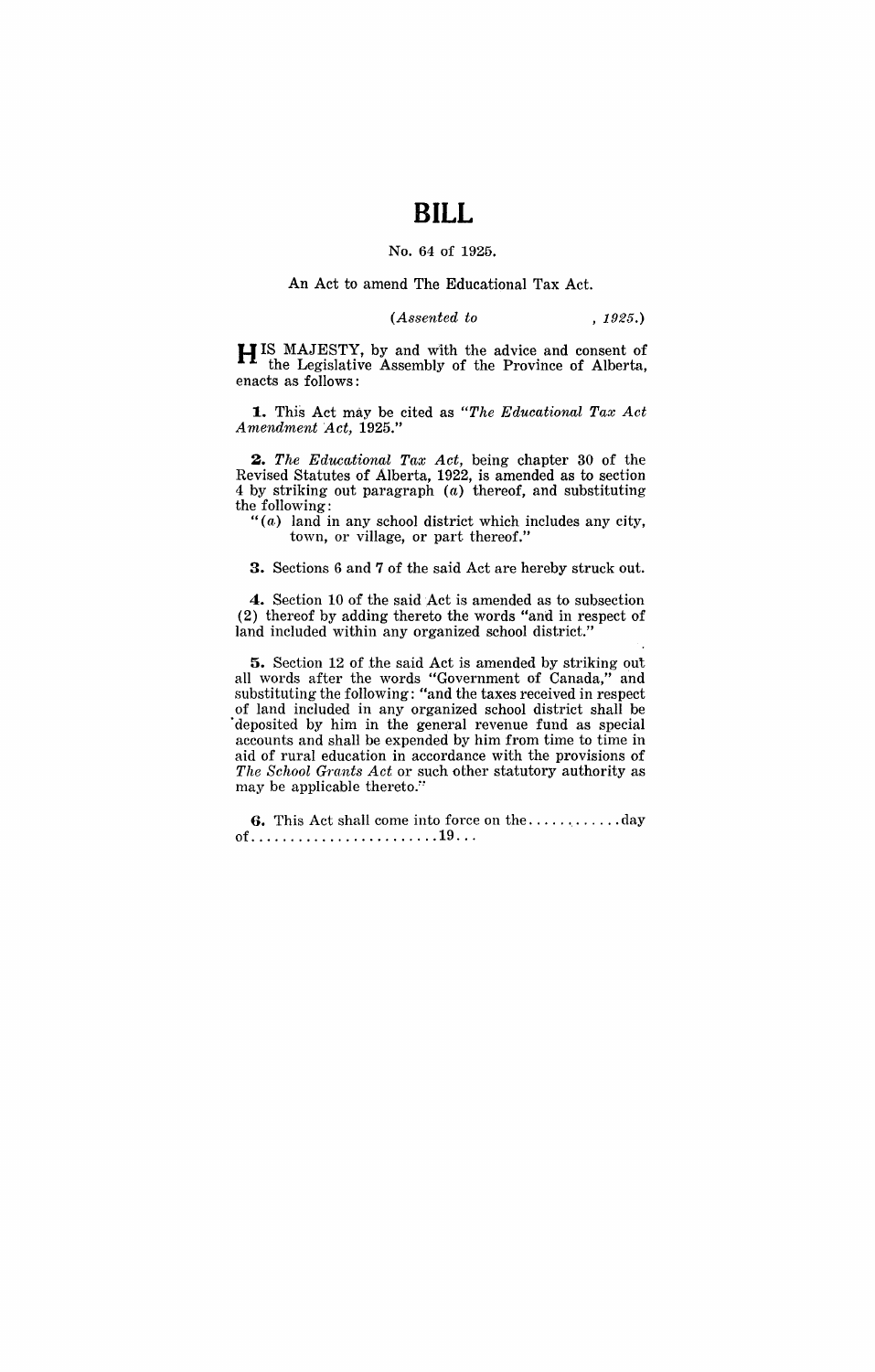# **BILL**

### No. 64 of 1925.

#### An Act to amend The Educational Tax Act.

*(Assented to* , 1925.)

H IS MAJESTY, by and with the advice and consent of the Legislative Assembly of the Province of Alberta, enacts as follows:

**1.** This Act may be cited as *"The Educational Tax Act A ntendntent Act, 1925."* 

*2. The Educational Tax Act,* being chapter 30 of the Revised Statutes of Alberta, 1922, is amended as to section 4 by striking out paragraph (a) thereof, and substituting the following:

" $(a)$  land in any school district which includes any city, town, or village, or part thereof."

3. Sections 6 and 7 of the said Act are hereby struck out.

4. Section 10 of the said Act is amended as to subsection (2) thereof by adding thereto the words "and in respect of land included within any organized school district.'

5. Section 12 of the said Act is amended by striking out all words after the words "Government of Canada," and substituting the following: "and the taxes received in respect of land included in any organized school district shall be deposited by him in the general revenue fund as special accounts and shall be expended by him from time to time in aid of rural education in accordance with the provisions of *The School Grants Act* or such other statutory authority as may be applicable thereto."

G. This Act shall come into force on the ............ day of............................19...